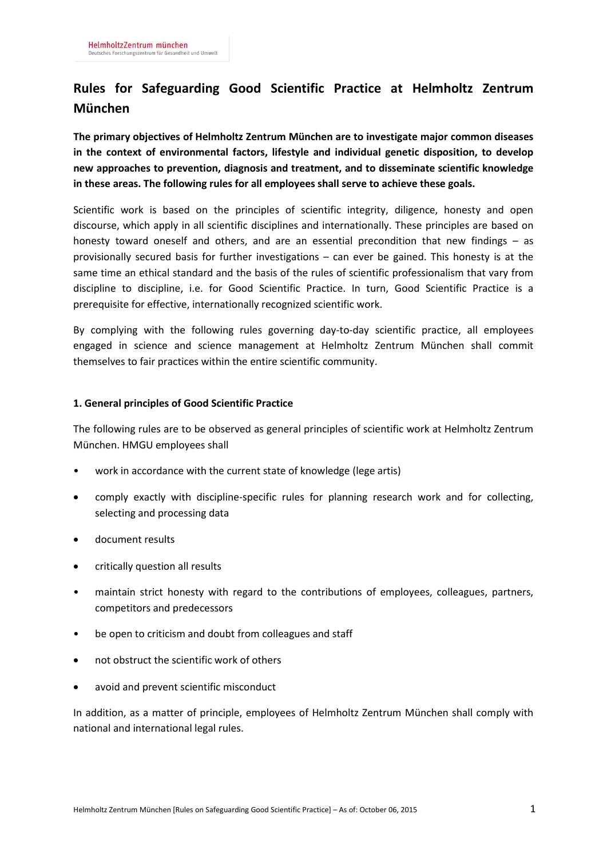# **Rules for Safeguarding Good Scientific Practice at Helmholtz Zentrum München**

**The primary objectives of Helmholtz Zentrum München are to investigate major common diseases in the context of environmental factors, lifestyle and individual genetic disposition, to develop new approaches to prevention, diagnosis and treatment, and to disseminate scientific knowledge in these areas. The following rules for all employees shall serve to achieve these goals.** 

Scientific work is based on the principles of scientific integrity, diligence, honesty and open discourse, which apply in all scientific disciplines and internationally. These principles are based on honesty toward oneself and others, and are an essential precondition that new findings – as provisionally secured basis for further investigations – can ever be gained. This honesty is at the same time an ethical standard and the basis of the rules of scientific professionalism that vary from discipline to discipline, i.e. for Good Scientific Practice. In turn, Good Scientific Practice is a prerequisite for effective, internationally recognized scientific work.

By complying with the following rules governing day-to-day scientific practice, all employees engaged in science and science management at Helmholtz Zentrum München shall commit themselves to fair practices within the entire scientific community.

## **1. General principles of Good Scientific Practice**

The following rules are to be observed as general principles of scientific work at Helmholtz Zentrum München. HMGU employees shall

- work in accordance with the current state of knowledge (lege artis)
- comply exactly with discipline-specific rules for planning research work and for collecting, selecting and processing data
- document results
- critically question all results
- maintain strict honesty with regard to the contributions of employees, colleagues, partners, competitors and predecessors
- be open to criticism and doubt from colleagues and staff
- not obstruct the scientific work of others
- avoid and prevent scientific misconduct

In addition, as a matter of principle, employees of Helmholtz Zentrum München shall comply with national and international legal rules.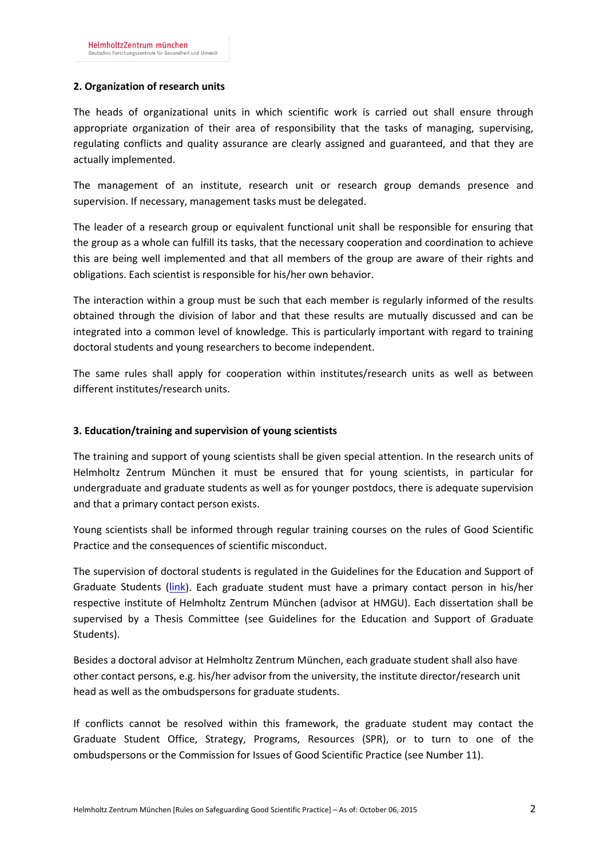## **2. Organization of research units**

The heads of organizational units in which scientific work is carried out shall ensure through appropriate organization of their area of responsibility that the tasks of managing, supervising, regulating conflicts and quality assurance are clearly assigned and guaranteed, and that they are actually implemented.

The management of an institute, research unit or research group demands presence and supervision. If necessary, management tasks must be delegated.

The leader of a research group or equivalent functional unit shall be responsible for ensuring that the group as a whole can fulfill its tasks, that the necessary cooperation and coordination to achieve this are being well implemented and that all members of the group are aware of their rights and obligations. Each scientist is responsible for his/her own behavior.

The interaction within a group must be such that each member is regularly informed of the results obtained through the division of labor and that these results are mutually discussed and can be integrated into a common level of knowledge. This is particularly important with regard to training doctoral students and young researchers to become independent.

The same rules shall apply for cooperation within institutes/research units as well as between different institutes/research units.

## **3. Education/training and supervision of young scientists**

The training and support of young scientists shall be given special attention. In the research units of Helmholtz Zentrum München it must be ensured that for young scientists, in particular for undergraduate and graduate students as well as for younger postdocs, there is adequate supervision and that a primary contact person exists.

Young scientists shall be informed through regular training courses on the rules of Good Scientific Practice and the consequences of scientific misconduct.

The supervision of doctoral students is regulated in the Guidelines for the Education and Support of Graduate Students [\(link\)](http://nip.helmholtz-muenchen.de/fileadmin/Intranet/Dokumente/Arbeiten_im_Zentrum/pdf/Personal/Doktoranden/Leitlinien_Doktorandenausbildung_englisch.pdf). Each graduate student must have a primary contact person in his/her respective institute of Helmholtz Zentrum München (advisor at HMGU). Each dissertation shall be supervised by a Thesis Committee (see Guidelines for the Education and Support of Graduate Students).

Besides a doctoral advisor at Helmholtz Zentrum München, each graduate student shall also have other contact persons, e.g. his/her advisor from the university, the institute director/research unit head as well as the ombudspersons for graduate students.

If conflicts cannot be resolved within this framework, the graduate student may contact the Graduate Student Office, Strategy, Programs, Resources (SPR), or to turn to one of the ombudspersons or the Commission for Issues of Good Scientific Practice (see Number 11).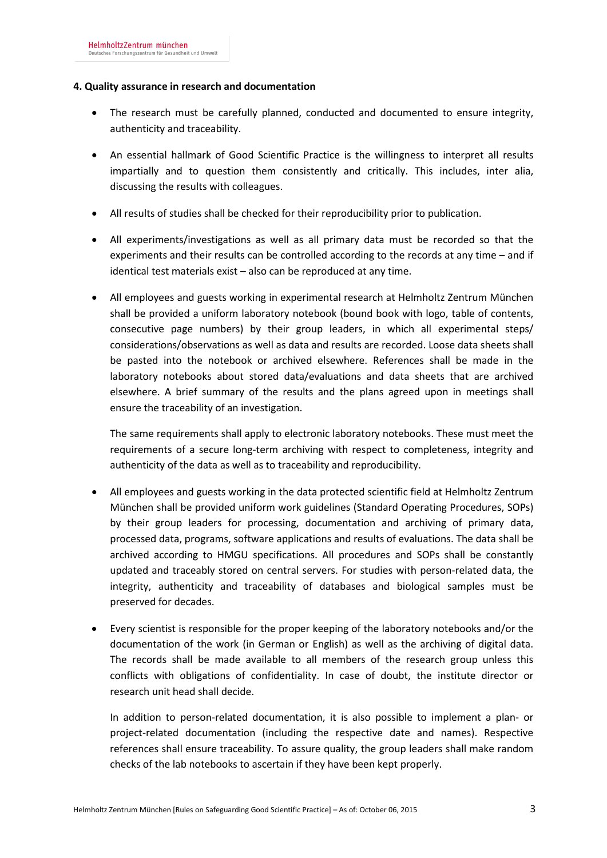## **4. Quality assurance in research and documentation**

- The research must be carefully planned, conducted and documented to ensure integrity, authenticity and traceability.
- An essential hallmark of Good Scientific Practice is the willingness to interpret all results impartially and to question them consistently and critically. This includes, inter alia, discussing the results with colleagues.
- All results of studies shall be checked for their reproducibility prior to publication.
- All experiments/investigations as well as all primary data must be recorded so that the experiments and their results can be controlled according to the records at any time – and if identical test materials exist – also can be reproduced at any time.
- All employees and guests working in experimental research at Helmholtz Zentrum München shall be provided a uniform laboratory notebook (bound book with logo, table of contents, consecutive page numbers) by their group leaders, in which all experimental steps/ considerations/observations as well as data and results are recorded. Loose data sheets shall be pasted into the notebook or archived elsewhere. References shall be made in the laboratory notebooks about stored data/evaluations and data sheets that are archived elsewhere. A brief summary of the results and the plans agreed upon in meetings shall ensure the traceability of an investigation.

The same requirements shall apply to electronic laboratory notebooks. These must meet the requirements of a secure long-term archiving with respect to completeness, integrity and authenticity of the data as well as to traceability and reproducibility.

- All employees and guests working in the data protected scientific field at Helmholtz Zentrum München shall be provided uniform work guidelines (Standard Operating Procedures, SOPs) by their group leaders for processing, documentation and archiving of primary data, processed data, programs, software applications and results of evaluations. The data shall be archived according to HMGU specifications. All procedures and SOPs shall be constantly updated and traceably stored on central servers. For studies with person-related data, the integrity, authenticity and traceability of databases and biological samples must be preserved for decades.
- Every scientist is responsible for the proper keeping of the laboratory notebooks and/or the documentation of the work (in German or English) as well as the archiving of digital data. The records shall be made available to all members of the research group unless this conflicts with obligations of confidentiality. In case of doubt, the institute director or research unit head shall decide.

In addition to person-related documentation, it is also possible to implement a plan- or project-related documentation (including the respective date and names). Respective references shall ensure traceability. To assure quality, the group leaders shall make random checks of the lab notebooks to ascertain if they have been kept properly.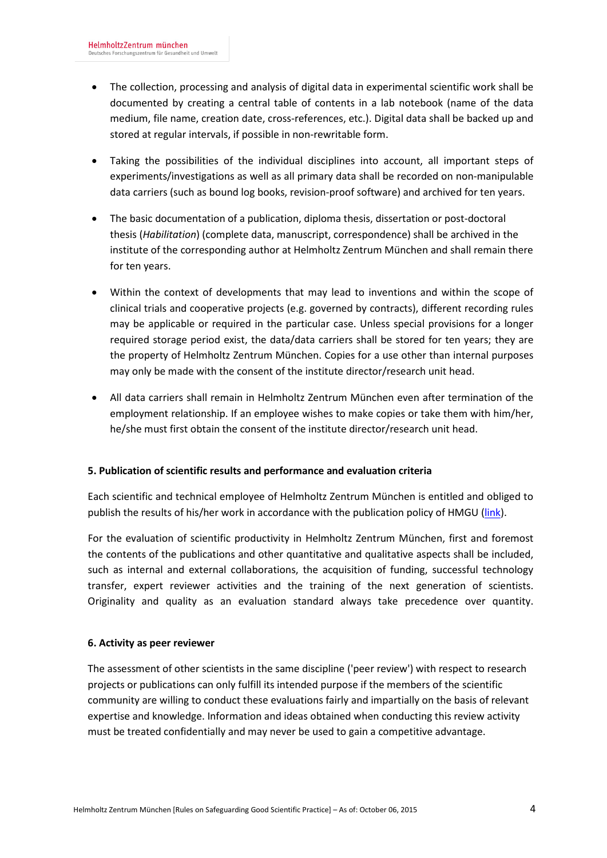- The collection, processing and analysis of digital data in experimental scientific work shall be documented by creating a central table of contents in a lab notebook (name of the data medium, file name, creation date, cross-references, etc.). Digital data shall be backed up and stored at regular intervals, if possible in non-rewritable form.
- Taking the possibilities of the individual disciplines into account, all important steps of experiments/investigations as well as all primary data shall be recorded on non-manipulable data carriers (such as bound log books, revision-proof software) and archived for ten years.
- The basic documentation of a publication, diploma thesis, dissertation or post-doctoral thesis (*Habilitation*) (complete data, manuscript, correspondence) shall be archived in the institute of the corresponding author at Helmholtz Zentrum München and shall remain there for ten years.
- Within the context of developments that may lead to inventions and within the scope of clinical trials and cooperative projects (e.g. governed by contracts), different recording rules may be applicable or required in the particular case. Unless special provisions for a longer required storage period exist, the data/data carriers shall be stored for ten years; they are the property of Helmholtz Zentrum München. Copies for a use other than internal purposes may only be made with the consent of the institute director/research unit head.
- All data carriers shall remain in Helmholtz Zentrum München even after termination of the employment relationship. If an employee wishes to make copies or take them with him/her, he/she must first obtain the consent of the institute director/research unit head.

# **5. Publication of scientific results and performance and evaluation criteria**

Each scientific and technical employee of Helmholtz Zentrum München is entitled and obliged to publish the results of his/her work in accordance with the publication policy of HMGU [\(link\)](http://nip.helmholtz-muenchen.de/fileadmin/Intranet/Dokumente/Forschung_Wissenschaft/EVA/Veroeffentlichungsordnung_EN.pdf).

For the evaluation of scientific productivity in Helmholtz Zentrum München, first and foremost the contents of the publications and other quantitative and qualitative aspects shall be included, such as internal and external collaborations, the acquisition of funding, successful technology transfer, expert reviewer activities and the training of the next generation of scientists. Originality and quality as an evaluation standard always take precedence over quantity.

## **6. Activity as peer reviewer**

The assessment of other scientists in the same discipline ('peer review') with respect to research projects or publications can only fulfill its intended purpose if the members of the scientific community are willing to conduct these evaluations fairly and impartially on the basis of relevant expertise and knowledge. Information and ideas obtained when conducting this review activity must be treated confidentially and may never be used to gain a competitive advantage.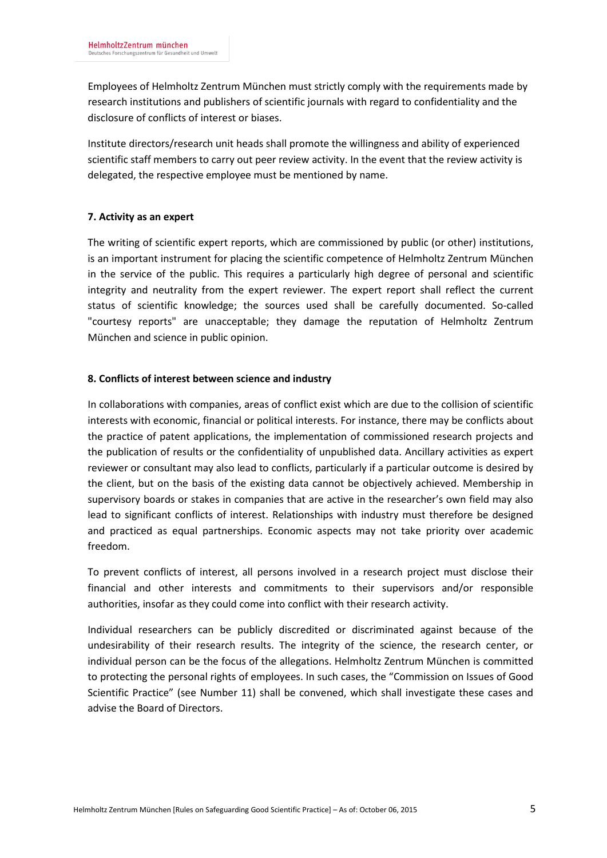Employees of Helmholtz Zentrum München must strictly comply with the requirements made by research institutions and publishers of scientific journals with regard to confidentiality and the disclosure of conflicts of interest or biases.

Institute directors/research unit heads shall promote the willingness and ability of experienced scientific staff members to carry out peer review activity. In the event that the review activity is delegated, the respective employee must be mentioned by name.

## **7. Activity as an expert**

The writing of scientific expert reports, which are commissioned by public (or other) institutions, is an important instrument for placing the scientific competence of Helmholtz Zentrum München in the service of the public. This requires a particularly high degree of personal and scientific integrity and neutrality from the expert reviewer. The expert report shall reflect the current status of scientific knowledge; the sources used shall be carefully documented. So-called "courtesy reports" are unacceptable; they damage the reputation of Helmholtz Zentrum München and science in public opinion.

## **8. Conflicts of interest between science and industry**

In collaborations with companies, areas of conflict exist which are due to the collision of scientific interests with economic, financial or political interests. For instance, there may be conflicts about the practice of patent applications, the implementation of commissioned research projects and the publication of results or the confidentiality of unpublished data. Ancillary activities as expert reviewer or consultant may also lead to conflicts, particularly if a particular outcome is desired by the client, but on the basis of the existing data cannot be objectively achieved. Membership in supervisory boards or stakes in companies that are active in the researcher's own field may also lead to significant conflicts of interest. Relationships with industry must therefore be designed and practiced as equal partnerships. Economic aspects may not take priority over academic freedom.

To prevent conflicts of interest, all persons involved in a research project must disclose their financial and other interests and commitments to their supervisors and/or responsible authorities, insofar as they could come into conflict with their research activity.

Individual researchers can be publicly discredited or discriminated against because of the undesirability of their research results. The integrity of the science, the research center, or individual person can be the focus of the allegations. Helmholtz Zentrum München is committed to protecting the personal rights of employees. In such cases, the "Commission on Issues of Good Scientific Practice" (see Number 11) shall be convened, which shall investigate these cases and advise the Board of Directors.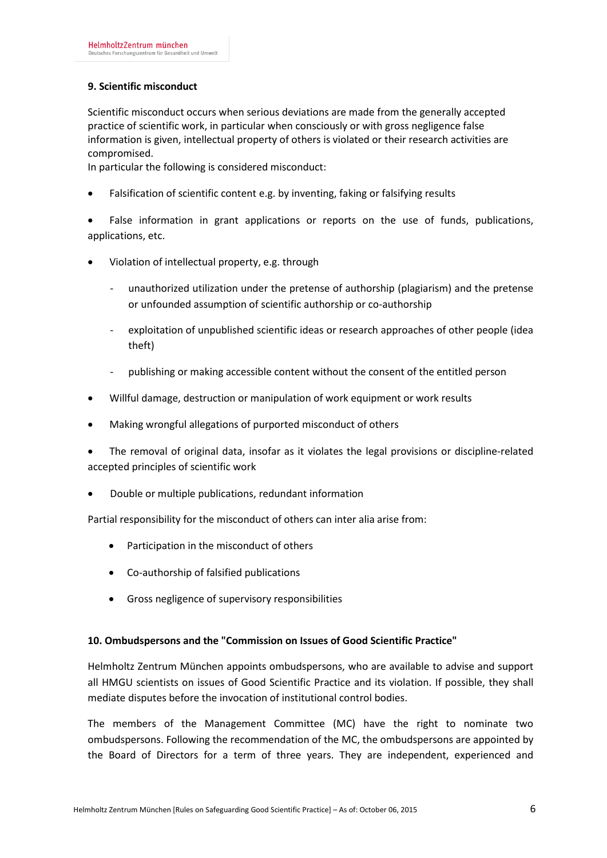## **9. Scientific misconduct**

Scientific misconduct occurs when serious deviations are made from the generally accepted practice of scientific work, in particular when consciously or with gross negligence false information is given, intellectual property of others is violated or their research activities are compromised.

In particular the following is considered misconduct:

- Falsification of scientific content e.g. by inventing, faking or falsifying results
- False information in grant applications or reports on the use of funds, publications, applications, etc.
- Violation of intellectual property, e.g. through
	- unauthorized utilization under the pretense of authorship (plagiarism) and the pretense or unfounded assumption of scientific authorship or co-authorship
	- exploitation of unpublished scientific ideas or research approaches of other people (idea theft)
	- publishing or making accessible content without the consent of the entitled person
- Willful damage, destruction or manipulation of work equipment or work results
- Making wrongful allegations of purported misconduct of others
- The removal of original data, insofar as it violates the legal provisions or discipline-related accepted principles of scientific work
- Double or multiple publications, redundant information

Partial responsibility for the misconduct of others can inter alia arise from:

- Participation in the misconduct of others
- Co-authorship of falsified publications
- Gross negligence of supervisory responsibilities

## **10. Ombudspersons and the "Commission on Issues of Good Scientific Practice"**

Helmholtz Zentrum München appoints ombudspersons, who are available to advise and support all HMGU scientists on issues of Good Scientific Practice and its violation. If possible, they shall mediate disputes before the invocation of institutional control bodies.

The members of the Management Committee (MC) have the right to nominate two ombudspersons. Following the recommendation of the MC, the ombudspersons are appointed by the Board of Directors for a term of three years. They are independent, experienced and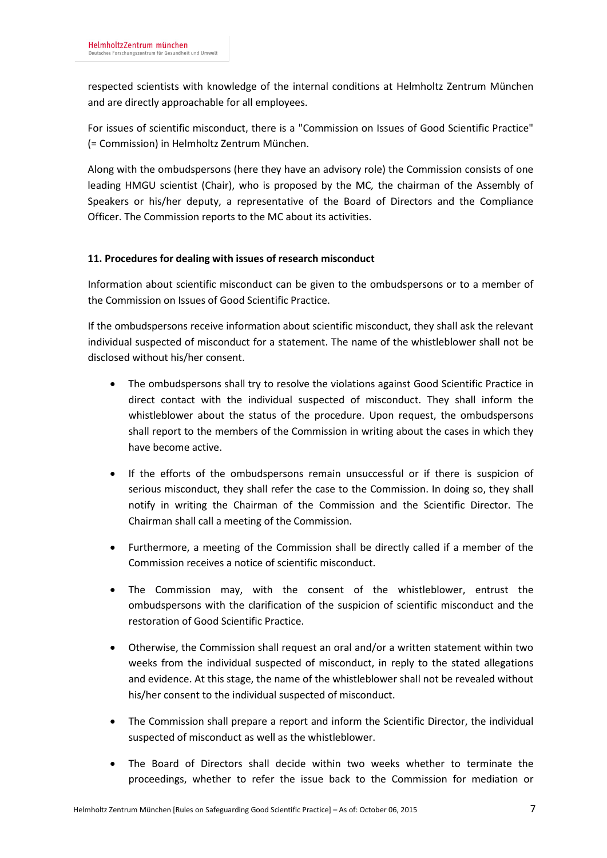respected scientists with knowledge of the internal conditions at Helmholtz Zentrum München and are directly approachable for all employees.

For issues of scientific misconduct, there is a "Commission on Issues of Good Scientific Practice" (= Commission) in Helmholtz Zentrum München.

Along with the ombudspersons (here they have an advisory role) the Commission consists of one leading HMGU scientist (Chair), who is proposed by the MC*,* the chairman of the Assembly of Speakers or his/her deputy, a representative of the Board of Directors and the Compliance Officer. The Commission reports to the MC about its activities.

# **11. Procedures for dealing with issues of research misconduct**

Information about scientific misconduct can be given to the ombudspersons or to a member of the Commission on Issues of Good Scientific Practice.

If the ombudspersons receive information about scientific misconduct, they shall ask the relevant individual suspected of misconduct for a statement. The name of the whistleblower shall not be disclosed without his/her consent.

- The ombudspersons shall try to resolve the violations against Good Scientific Practice in direct contact with the individual suspected of misconduct. They shall inform the whistleblower about the status of the procedure. Upon request, the ombudspersons shall report to the members of the Commission in writing about the cases in which they have become active.
- If the efforts of the ombudspersons remain unsuccessful or if there is suspicion of serious misconduct, they shall refer the case to the Commission. In doing so, they shall notify in writing the Chairman of the Commission and the Scientific Director. The Chairman shall call a meeting of the Commission.
- Furthermore, a meeting of the Commission shall be directly called if a member of the Commission receives a notice of scientific misconduct.
- The Commission may, with the consent of the whistleblower, entrust the ombudspersons with the clarification of the suspicion of scientific misconduct and the restoration of Good Scientific Practice.
- Otherwise, the Commission shall request an oral and/or a written statement within two weeks from the individual suspected of misconduct, in reply to the stated allegations and evidence. At this stage, the name of the whistleblower shall not be revealed without his/her consent to the individual suspected of misconduct.
- The Commission shall prepare a report and inform the Scientific Director, the individual suspected of misconduct as well as the whistleblower.
- The Board of Directors shall decide within two weeks whether to terminate the proceedings, whether to refer the issue back to the Commission for mediation or